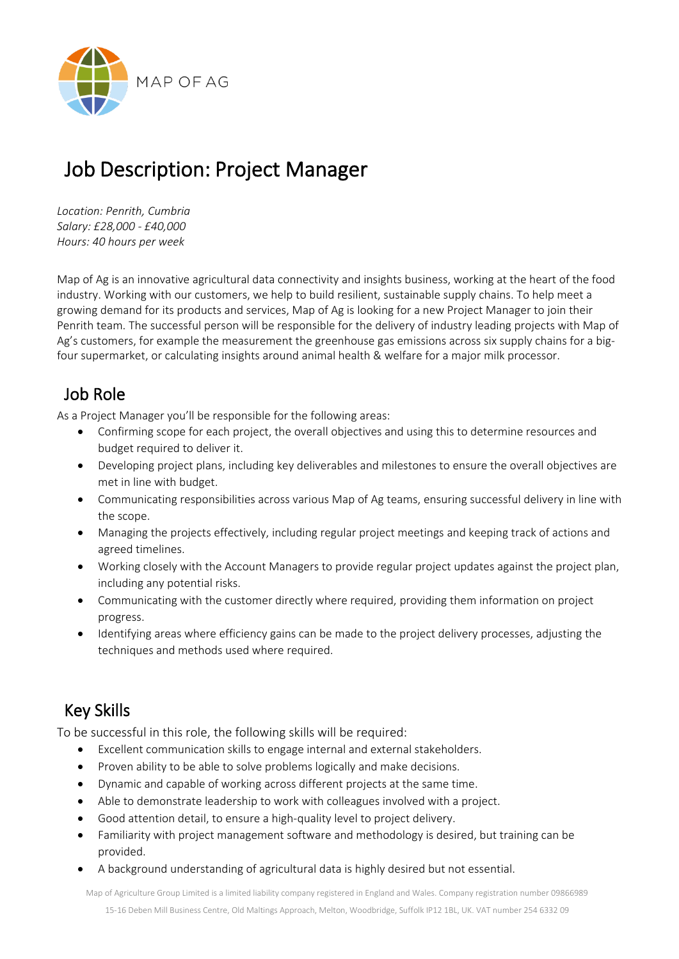

# Job Description: Project Manager

*Location: Penrith, Cumbria Salary: £28,000 - £40,000 Hours: 40 hours per week* 

Map of Ag is an innovative agricultural data connectivity and insights business, working at the heart of the food industry. Working with our customers, we help to build resilient, sustainable supply chains. To help meet a growing demand for its products and services, Map of Ag is looking for a new Project Manager to join their Penrith team. The successful person will be responsible for the delivery of industry leading projects with Map of Ag's customers, for example the measurement the greenhouse gas emissions across six supply chains for a bigfour supermarket, or calculating insights around animal health & welfare for a major milk processor.

#### Job Role

As a Project Manager you'll be responsible for the following areas:

- Confirming scope for each project, the overall objectives and using this to determine resources and budget required to deliver it.
- Developing project plans, including key deliverables and milestones to ensure the overall objectives are met in line with budget.
- Communicating responsibilities across various Map of Ag teams, ensuring successful delivery in line with the scope.
- Managing the projects effectively, including regular project meetings and keeping track of actions and agreed timelines.
- Working closely with the Account Managers to provide regular project updates against the project plan, including any potential risks.
- Communicating with the customer directly where required, providing them information on project progress.
- Identifying areas where efficiency gains can be made to the project delivery processes, adjusting the techniques and methods used where required.

### Key Skills

To be successful in this role, the following skills will be required:

- Excellent communication skills to engage internal and external stakeholders.
- Proven ability to be able to solve problems logically and make decisions.
- Dynamic and capable of working across different projects at the same time.
- Able to demonstrate leadership to work with colleagues involved with a project.
- Good attention detail, to ensure a high-quality level to project delivery.
- Familiarity with project management software and methodology is desired, but training can be provided.
- A background understanding of agricultural data is highly desired but not essential.

Map of Agriculture Group Limited is a limited liability company registered in England and Wales. Company registration number 09866989